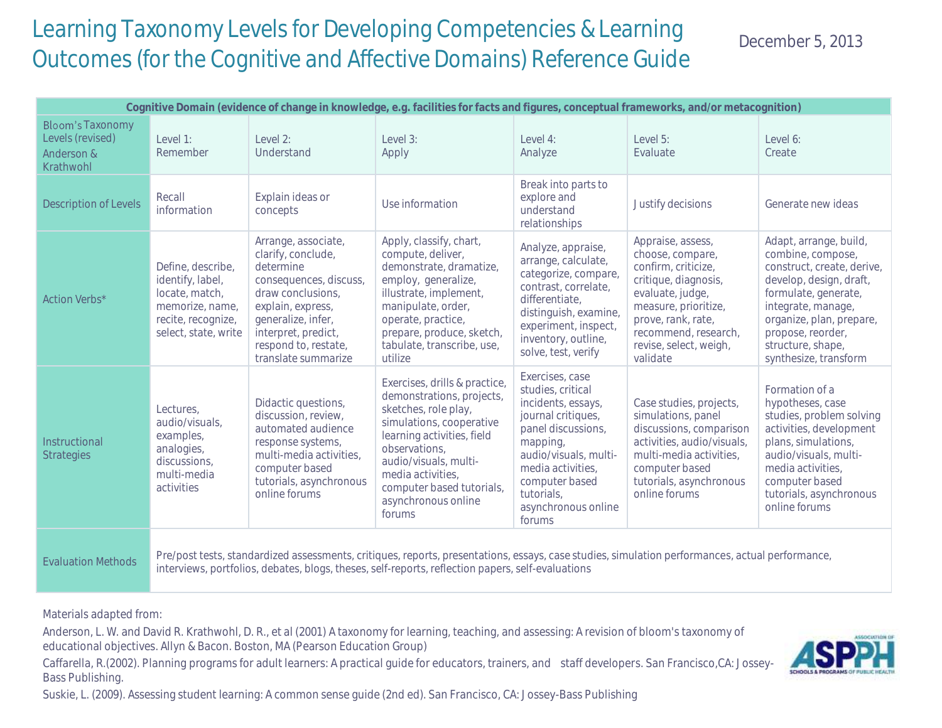## Learning Taxonomy Levels for Developing Competencies & Learning Outcomes (for the Cognitive and Affective Domains) Reference Guide

December 5, 2013

| Cognitive Domain (evidence of change in knowledge, e.g. facilities for facts and figures, conceptual frameworks, and/or metacognition) |                                                                                                                                                                                                                                                      |                                                                                                                                                                                                                        |                                                                                                                                                                                                                                                                           |                                                                                                                                                                                                                                   |                                                                                                                                                                                                                      |                                                                                                                                                                                                                                                   |  |  |  |
|----------------------------------------------------------------------------------------------------------------------------------------|------------------------------------------------------------------------------------------------------------------------------------------------------------------------------------------------------------------------------------------------------|------------------------------------------------------------------------------------------------------------------------------------------------------------------------------------------------------------------------|---------------------------------------------------------------------------------------------------------------------------------------------------------------------------------------------------------------------------------------------------------------------------|-----------------------------------------------------------------------------------------------------------------------------------------------------------------------------------------------------------------------------------|----------------------------------------------------------------------------------------------------------------------------------------------------------------------------------------------------------------------|---------------------------------------------------------------------------------------------------------------------------------------------------------------------------------------------------------------------------------------------------|--|--|--|
| <b>Bloom's Taxonomy</b><br>Levels (revised)<br>Anderson &<br>Krathwohl                                                                 | Level 1:<br>Remember                                                                                                                                                                                                                                 | Level 2:<br>Understand                                                                                                                                                                                                 | Level 3:<br>Apply                                                                                                                                                                                                                                                         | Level 4:<br>Analyze                                                                                                                                                                                                               | Level 5:<br>Evaluate                                                                                                                                                                                                 | Level 6:<br>Create                                                                                                                                                                                                                                |  |  |  |
| <b>Description of Levels</b>                                                                                                           | Recall<br>information                                                                                                                                                                                                                                | Explain ideas or<br>concepts                                                                                                                                                                                           | Use information                                                                                                                                                                                                                                                           | Break into parts to<br>explore and<br>understand<br>relationships                                                                                                                                                                 | Justify decisions                                                                                                                                                                                                    | Generate new ideas                                                                                                                                                                                                                                |  |  |  |
| Action Verbs*                                                                                                                          | Define, describe,<br>identify, label,<br>locate, match,<br>memorize, name,<br>recite, recognize,<br>select, state, write                                                                                                                             | Arrange, associate,<br>clarify, conclude,<br>determine<br>consequences, discuss,<br>draw conclusions,<br>explain, express,<br>generalize, infer,<br>interpret, predict,<br>respond to, restate,<br>translate summarize | Apply, classify, chart,<br>compute, deliver,<br>demonstrate, dramatize,<br>employ, generalize,<br>illustrate, implement,<br>manipulate, order,<br>operate, practice,<br>prepare, produce, sketch,<br>tabulate, transcribe, use,<br>utilize                                | Analyze, appraise,<br>arrange, calculate,<br>categorize, compare,<br>contrast, correlate,<br>differentiate,<br>distinguish, examine,<br>experiment, inspect,<br>inventory, outline,<br>solve, test, verify                        | Appraise, assess,<br>choose, compare,<br>confirm, criticize,<br>critique, diagnosis,<br>evaluate, judge,<br>measure, prioritize,<br>prove, rank, rate,<br>recommend, research,<br>revise, select, weigh,<br>validate | Adapt, arrange, build,<br>combine, compose,<br>construct, create, derive,<br>develop, design, draft,<br>formulate, generate,<br>integrate, manage,<br>organize, plan, prepare,<br>propose, reorder,<br>structure, shape,<br>synthesize, transform |  |  |  |
| Instructional<br><b>Strategies</b>                                                                                                     | Lectures,<br>audio/visuals,<br>examples,<br>analogies,<br>discussions.<br>multi-media<br>activities                                                                                                                                                  | Didactic questions,<br>discussion, review,<br>automated audience<br>response systems,<br>multi-media activities,<br>computer based<br>tutorials, asynchronous<br>online forums                                         | Exercises, drills & practice,<br>demonstrations, projects,<br>sketches, role play,<br>simulations, cooperative<br>learning activities, field<br>observations.<br>audio/visuals, multi-<br>media activities,<br>computer based tutorials,<br>asynchronous online<br>forums | Exercises, case<br>studies, critical<br>incidents, essays,<br>journal critiques,<br>panel discussions,<br>mapping,<br>audio/visuals, multi-<br>media activities,<br>computer based<br>tutorials,<br>asynchronous online<br>forums | Case studies, projects,<br>simulations, panel<br>discussions, comparison<br>activities, audio/visuals,<br>multi-media activities,<br>computer based<br>tutorials, asynchronous<br>online forums                      | Formation of a<br>hypotheses, case<br>studies, problem solving<br>activities, development<br>plans, simulations,<br>audio/visuals, multi-<br>media activities,<br>computer based<br>tutorials, asynchronous<br>online forums                      |  |  |  |
| <b>Evaluation Methods</b>                                                                                                              | Pre/post tests, standardized assessments, critiques, reports, presentations, essays, case studies, simulation performances, actual performance,<br>interviews, portfolios, debates, blogs, theses, self-reports, reflection papers, self-evaluations |                                                                                                                                                                                                                        |                                                                                                                                                                                                                                                                           |                                                                                                                                                                                                                                   |                                                                                                                                                                                                                      |                                                                                                                                                                                                                                                   |  |  |  |

Materials adapted from:

Anderson, L. W. and David R. Krathwohl, D. R., et al (2001) A taxonomy for learning, teaching, and assessing: A revision of bloom's taxonomy of educational objectives. Allyn & Bacon. Boston, MA (Pearson Education Group)

Caffarella, R.(2002). Planning programs for adult learners: A practical guide for educators, trainers, and staff developers. San Francisco,CA: Jossey-Bass Publishing.

Suskie, L. (2009). Assessing student learning: A common sense guide (2nd ed). San Francisco, CA: Jossey-Bass Publishing